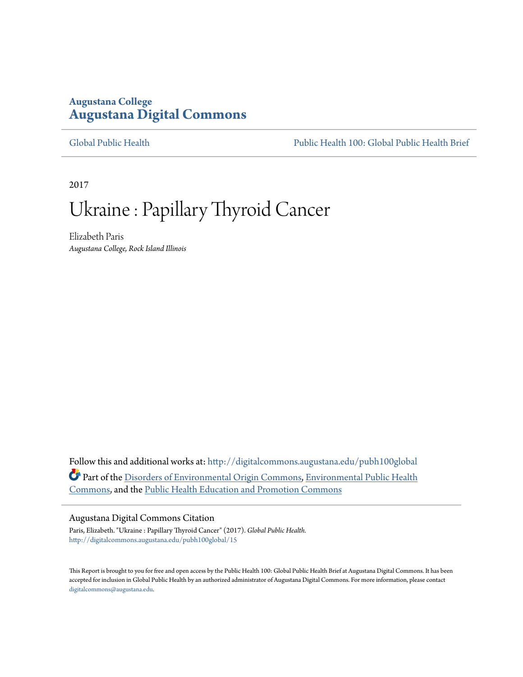### **Augustana College [Augustana Digital Commons](http://digitalcommons.augustana.edu?utm_source=digitalcommons.augustana.edu%2Fpubh100global%2F15&utm_medium=PDF&utm_campaign=PDFCoverPages)**

[Global Public Health](http://digitalcommons.augustana.edu/pubh100global?utm_source=digitalcommons.augustana.edu%2Fpubh100global%2F15&utm_medium=PDF&utm_campaign=PDFCoverPages) [Public Health 100: Global Public Health Brief](http://digitalcommons.augustana.edu/pubh100?utm_source=digitalcommons.augustana.edu%2Fpubh100global%2F15&utm_medium=PDF&utm_campaign=PDFCoverPages)

2017

# Ukraine : Papillary Thyroid Cancer

Elizabeth Paris *Augustana College, Rock Island Illinois*

Follow this and additional works at: [http://digitalcommons.augustana.edu/pubh100global](http://digitalcommons.augustana.edu/pubh100global?utm_source=digitalcommons.augustana.edu%2Fpubh100global%2F15&utm_medium=PDF&utm_campaign=PDFCoverPages) Part of the [Disorders of Environmental Origin Commons](http://network.bepress.com/hgg/discipline/976?utm_source=digitalcommons.augustana.edu%2Fpubh100global%2F15&utm_medium=PDF&utm_campaign=PDFCoverPages), [Environmental Public Health](http://network.bepress.com/hgg/discipline/739?utm_source=digitalcommons.augustana.edu%2Fpubh100global%2F15&utm_medium=PDF&utm_campaign=PDFCoverPages) [Commons,](http://network.bepress.com/hgg/discipline/739?utm_source=digitalcommons.augustana.edu%2Fpubh100global%2F15&utm_medium=PDF&utm_campaign=PDFCoverPages) and the [Public Health Education and Promotion Commons](http://network.bepress.com/hgg/discipline/743?utm_source=digitalcommons.augustana.edu%2Fpubh100global%2F15&utm_medium=PDF&utm_campaign=PDFCoverPages)

#### Augustana Digital Commons Citation

Paris, Elizabeth. "Ukraine : Papillary Thyroid Cancer" (2017). *Global Public Health.* [http://digitalcommons.augustana.edu/pubh100global/15](http://digitalcommons.augustana.edu/pubh100global/15?utm_source=digitalcommons.augustana.edu%2Fpubh100global%2F15&utm_medium=PDF&utm_campaign=PDFCoverPages)

This Report is brought to you for free and open access by the Public Health 100: Global Public Health Brief at Augustana Digital Commons. It has been accepted for inclusion in Global Public Health by an authorized administrator of Augustana Digital Commons. For more information, please contact [digitalcommons@augustana.edu.](mailto:digitalcommons@augustana.edu)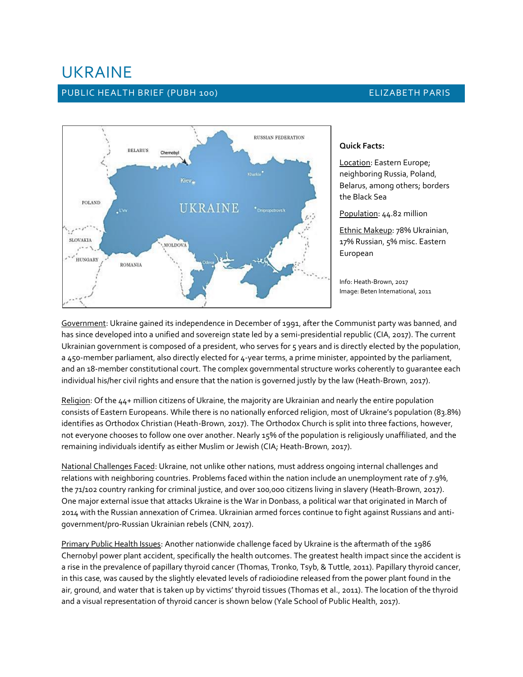## UKRAINE

#### PUBLIC HEALTH BRIEF (PUBH 100) **ELIZABETH PARIS**



#### **Quick Facts:**

Location: Eastern Europe; neighboring Russia, Poland, Belarus, among others; borders the Black Sea

Population: 44.82 million

Ethnic Makeup: 78% Ukrainian, 17% Russian, 5% misc. Eastern European

Info: Heath-Brown, 2017 Image: Beten International, 2011

Government: Ukraine gained its independence in December of 1991, after the Communist party was banned, and has since developed into a unified and sovereign state led by a semi-presidential republic (CIA, 2017). The current Ukrainian government is composed of a president, who serves for 5 years and is directly elected by the population, a 450-member parliament, also directly elected for 4-year terms, a prime minister, appointed by the parliament, and an 18-member constitutional court. The complex governmental structure works coherently to guarantee each individual his/her civil rights and ensure that the nation is governed justly by the law (Heath-Brown, 2017).

Religion: Of the 44+ million citizens of Ukraine, the majority are Ukrainian and nearly the entire population consists of Eastern Europeans. While there is no nationally enforced religion, most of Ukraine's population (83.8%) identifies as Orthodox Christian (Heath-Brown, 2017). The Orthodox Church is split into three factions, however, not everyone chooses to follow one over another. Nearly 15% of the population is religiously unaffiliated, and the remaining individuals identify as either Muslim or Jewish (CIA; Heath-Brown, 2017).

National Challenges Faced: Ukraine, not unlike other nations, must address ongoing internal challenges and relations with neighboring countries. Problems faced within the nation include an unemployment rate of 7.9%, the 71/102 country ranking for criminal justice, and over 100,000 citizens living in slavery (Heath-Brown, 2017). One major external issue that attacks Ukraine is the War in Donbass, a political war that originated in March of 2014 with the Russian annexation of Crimea. Ukrainian armed forces continue to fight against Russians and antigovernment/pro-Russian Ukrainian rebels (CNN, 2017).

Primary Public Health Issues: Another nationwide challenge faced by Ukraine is the aftermath of the 1986 Chernobyl power plant accident, specifically the health outcomes. The greatest health impact since the accident is a rise in the prevalence of papillary thyroid cancer (Thomas, Tronko, Tsyb, & Tuttle, 2011). Papillary thyroid cancer, in this case, was caused by the slightly elevated levels of radioiodine released from the power plant found in the air, ground, and water that is taken up by victims' thyroid tissues (Thomas et al., 2011). The location of the thyroid and a visual representation of thyroid cancer is shown below (Yale School of Public Health, 2017).